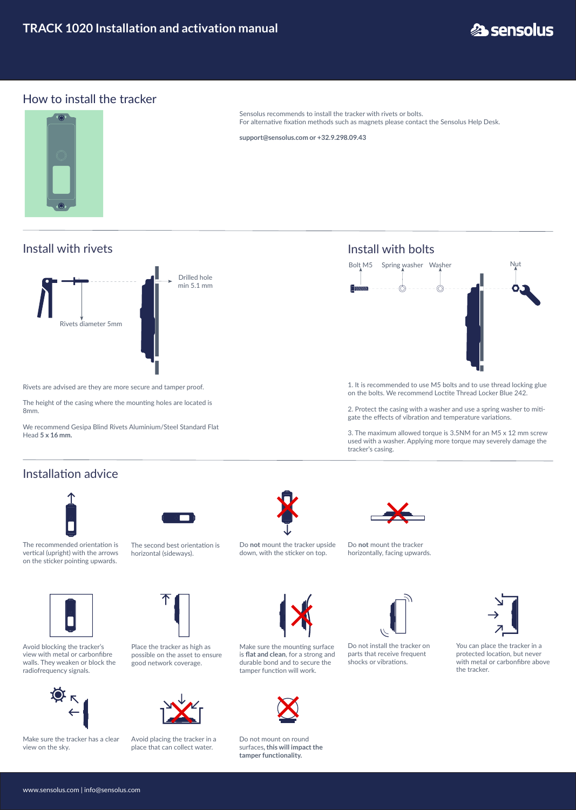www.sensolus.com | info@sensolus.com



## How to install the tracker



Sensolus recommends to install the tracker with rivets or bolts. For alternative fixation methods such as magnets please contact the Sensolus Help Desk.

**support@sensolus.com or +32.9.298.09.43**

Install with bolts



1. It is recommended to use M5 bolts and to use thread locking glue on the bolts. We recommend Loctite Thread Locker Blue 242.

2. Protect the casing with a washer and use a spring washer to mitigate the effects of vibration and temperature variations.

3. The maximum allowed torque is 3.5NM for an M5 x 12 mm screw used with a washer. Applying more torque may severely damage the tracker's casing.



Rivets are advised are they are more secure and tamper proof.

The height of the casing where the mounting holes are located is 8mm.

We recommend Gesipa Blind Rivets Aluminium/Steel Standard Flat Head **5 x 16 mm.**

## Install with rivets

## Installation advice



Avoid blocking the tracker's view with metal or carbonfibre walls. They weaken or block the radiofrequency signals.



The recommended orientation is vertical (upright) with the arrows on the sticker pointing upwards.

Place the tracker as high as possible on the asset to ensure good network coverage.

Make sure the tracker has a clear view on the sky.

Do not install the tracker on parts that receive frequent shocks or vibrations.



You can place the tracker in a protected location, but never with metal or carbonfibre above the tracker.



Avoid placing the tracker in a place that can collect water.



Do not mount on round surfaces**, this will impact the tamper functionality.**





Do **not** mount the tracker upside down, with the sticker on top.



リル

The second best orientation is horizontal (sideways).

Do **not** mount the tracker horizontally, facing upwards.







 $\mathbf{L}$